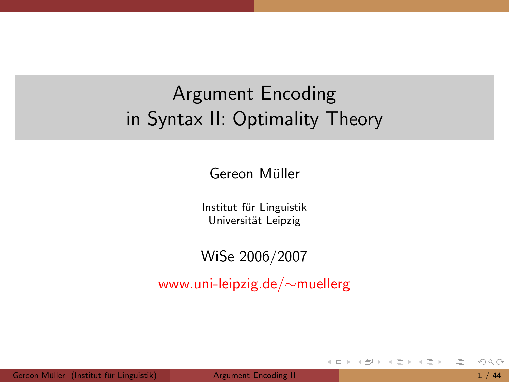### Argument Encoding in Syntax II: Optimality Theory

Gereon Müller

Institut für Linguistik Universität Leipzig

WiSe 2006/2007

www.uni-leipzig.de/∼muellerg

≘

<span id="page-0-0"></span>イ母 ト イヨ ト イヨ ト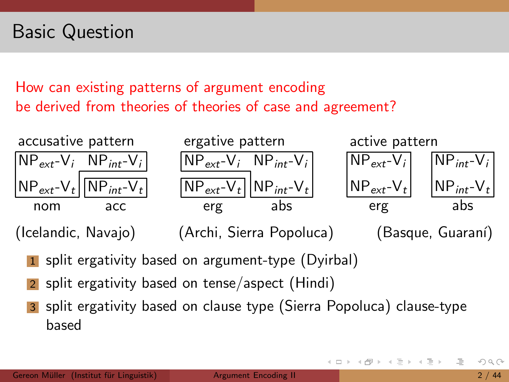### Basic Question

#### How can existing patterns of argument encoding be derived from theories of theories of case and agreement?



(Icelandic, Navajo) (Archi, Sierra Popoluca) (Basque, Guaran´ı)

- 1 split ergativity based on argument-type (Dyirbal)
- split ergativity based on tense/aspect (Hindi)
- split ergativity based on clause type (Sierra Popoluca) clause-type based

ミトコミト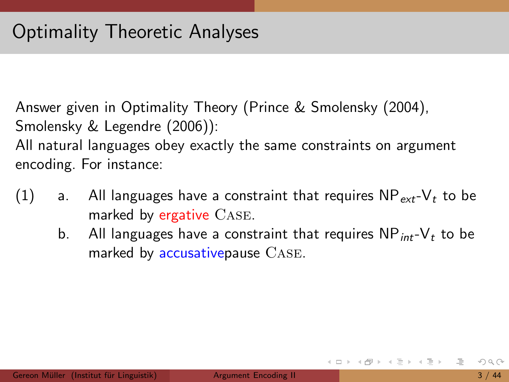Answer given in Optimality Theory (Prince & Smolensky (2004), Smolensky & Legendre (2006)):

All natural languages obey exactly the same constraints on argument encoding. For instance:

- (1) a. All languages have a constraint that requires  $NP_{ext}-V_t$  to be marked by ergative CASE.
	- b. All languages have a constraint that requires  $NP_{int}-V_{t}$  to be marked by accusativepause Case.

イロト イ母 トイラト イラトー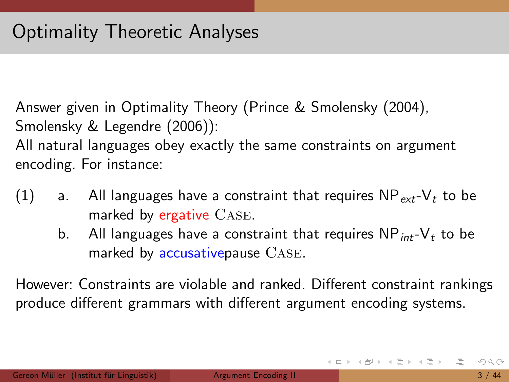Answer given in Optimality Theory (Prince & Smolensky (2004), Smolensky & Legendre (2006)):

All natural languages obey exactly the same constraints on argument encoding. For instance:

- (1) a. All languages have a constraint that requires  $NP_{ext}-V_t$  to be marked by ergative CASE.
	- b. All languages have a constraint that requires  $NP_{int}-V_{t}$  to be marked by accusativepause Case.

However: Constraints are violable and ranked. Different constraint rankings produce different grammars with different argument encoding systems.

지갑 지수는 지금 지나가 그는 그는 것이다.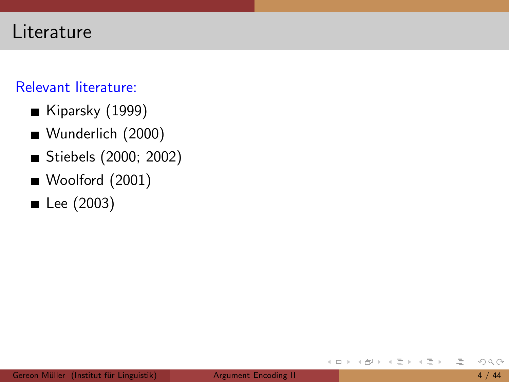#### Literature

#### Relevant literature:

- Kiparsky  $(1999)$
- Wunderlich (2000)
- Stiebels (2000; 2002)
- Woolford (2001)
- $\blacksquare$  Lee (2003)

 $\leftarrow$   $\Box$   $\rightarrow$ 

 $\equiv$   $\rightarrow$ ≘

Þ  $\vert \cdot \vert$  $\rightarrow$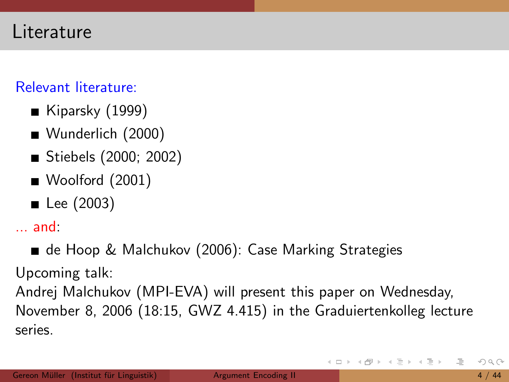#### Relevant literature:

- Kiparsky  $(1999)$
- Wunderlich (2000)
- Stiebels (2000; 2002)
- Woolford (2001)
- $\blacksquare$  Lee (2003)

... and:

■ de Hoop & Malchukov (2006): Case Marking Strategies

Upcoming talk:

Andrej Malchukov (MPI-EVA) will present this paper on Wednesday, November 8, 2006 (18:15, GWZ 4.415) in the Graduiertenkolleg lecture series.

イタト イミト イミト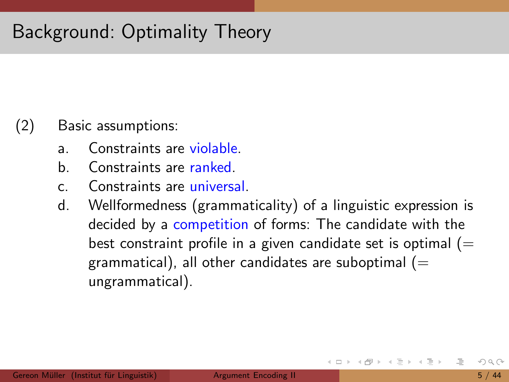### Background: Optimality Theory

#### (2) Basic assumptions:

- a. Constraints are violable.
- b. Constraints are ranked.
- c. Constraints are universal.
- d. Wellformedness (grammaticality) of a linguistic expression is decided by a competition of forms: The candidate with the best constraint profile in a given candidate set is optimal  $(=$ grammatical), all other candidates are suboptimal  $(=$ ungrammatical).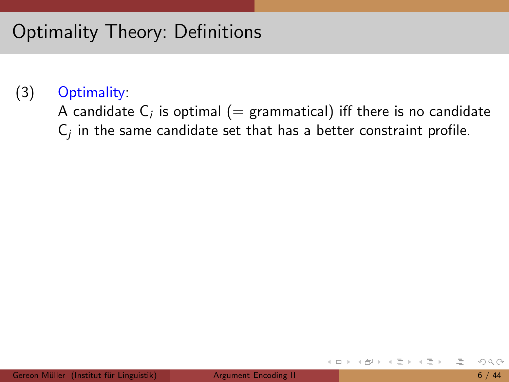Optimality Theory: Definitions

#### (3) Optimality:

A candidate  $\mathsf{C}_i$  is optimal  $(=$  grammatical) iff there is no candidate  $\mathsf{C}_j$  in the same candidate set that has a better constraint profile.

ミドイラト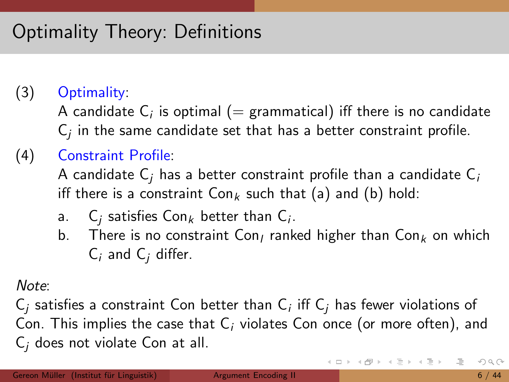### Optimality Theory: Definitions

#### (3) Optimality:

A candidate  $\mathsf{C}_i$  is optimal  $(=$  grammatical) iff there is no candidate  $\mathsf{C}_j$  in the same candidate set that has a better constraint profile.

#### (4) Constraint Profile:

A candidate  $C_i$  has a better constraint profile than a candidate  $C_i$ iff there is a constraint  $Con_k$  such that (a) and (b) hold:

- a.  $C_j$  satisfies Con $_k$  better than  $C_i$ .
- b. There is no constraint Con, ranked higher than  $Con_k$  on which  $C_i$  and  $C_i$  differ.

Note:

 $\mathsf{C}_j$  satisfies a constraint  $\mathsf{Con}$  better than  $\mathsf{C}_i$  iff  $\mathsf{C}_j$  has fewer violations of Con. This implies the case that  $C_i$  violates Con once (or more often), and  $C_i$  does not violate Con at all.

イロト イ団ト イモト イモトー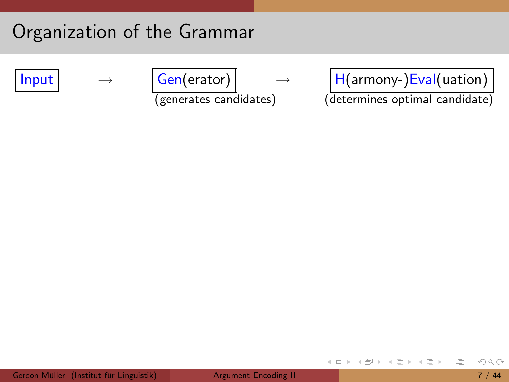### Organization of the Grammar

$$
\mathsf{Input}
$$

$$
\rightarrow
$$

$$
\begin{array}{c|c}\n\hline\nGen(erator) & \rightarrow \\
\hline\n(generates candidates)\n\end{array}
$$

$$
\boxed{\text{Input}} \qquad \rightarrow \qquad \boxed{\text{Gen(erator)}} \qquad \rightarrow \qquad \boxed{\text{H(armony-)Eval(uation)}}
$$

(generates candidates) (determines optimal candidate)

 $\equiv$ 

イロト イ部 トイモト イモト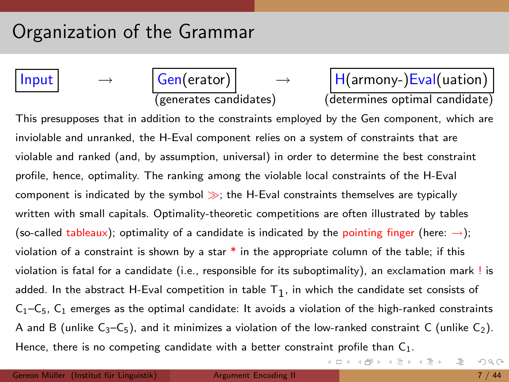### Organization of the Grammar

$$
\mathsf{Input}
$$

$$
\begin{array}{|c|c|}\n\hline\nGen(erator) & -\\ \hline\n(generates candidate)\n\end{array}
$$

 $\rightarrow$  H(armony-)Eval(uation) (determines optimal candidate)

イロト イ部 トイミト イミト

This presupposes that in addition to the constraints employed by the Gen component, which are inviolable and unranked, the H-Eval component relies on a system of constraints that are violable and ranked (and, by assumption, universal) in order to determine the best constraint profile, hence, optimality. The ranking among the violable local constraints of the H-Eval component is indicated by the symbol  $\gg$ ; the H-Eval constraints themselves are typically written with small capitals. Optimality-theoretic competitions are often illustrated by tables (so-called tableaux); optimality of a candidate is indicated by the pointing finger (here:  $\rightarrow$ ); violation of a constraint is shown by a star  $*$  in the appropriate column of the table; if this violation is fatal for a candidate (i.e., responsible for its suboptimality), an exclamation mark ! is added. In the abstract H-Eval competition in table  $\mathsf{T}_1$ , in which the candidate set consists of  $C_1-C_5$ ,  $C_1$  emerges as the optimal candidate: It avoids a violation of the high-ranked constraints A and B (unlike  $C_3-C_5$ ), and it minimizes a violation of the low-ranked constraint C (unlike  $C_2$ ). Hence, there is no competing candidate with a better constraint profile than  $C_1$ .

E.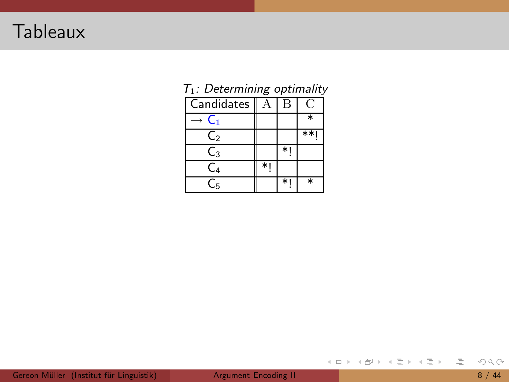### Tableaux

| o              |  |        |        |  |  |
|----------------|--|--------|--------|--|--|
| Candidates     |  | в      |        |  |  |
| Ü1             |  |        | $\ast$ |  |  |
| $\mathsf{C}_2$ |  |        | $**$   |  |  |
| $\mathsf{C}_3$ |  | $\ast$ |        |  |  |
| $\mathsf{C}_4$ |  |        |        |  |  |
| C5             |  | $*1$   | $\ast$ |  |  |

<span id="page-11-0"></span>

| $T_1$ : Determining optimality |  |
|--------------------------------|--|
|                                |  |

 $\bar{=}$ 

イロト イ部ト イヨト イヨト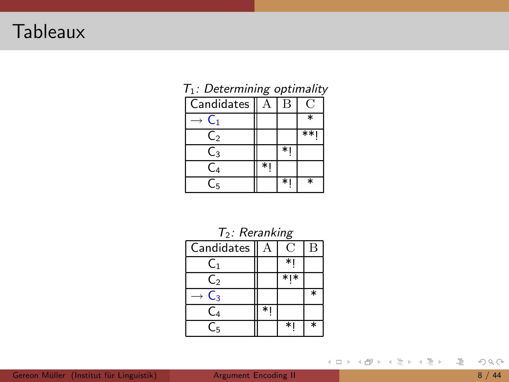### **Tableaux**

|                | $\cdot$ $\cdot$ |      |        |
|----------------|-----------------|------|--------|
| Candidates     |                 | В    |        |
| C1.            |                 |      | ∗      |
| $\mathsf{C}_2$ |                 |      | **1    |
| $\mathsf{C}_3$ |                 | $*1$ |        |
| C4             | $\ast$          |      |        |
| С5             |                 | $*1$ | $\ast$ |

| $T_2$ : Reranking |   |           |        |  |  |  |
|-------------------|---|-----------|--------|--|--|--|
| Candidates        | А | D         | в      |  |  |  |
| C <sub>1</sub>    |   |           |        |  |  |  |
| C <sub>2</sub>    |   | $*$   $*$ |        |  |  |  |
| $C_3$             |   |           | $\ast$ |  |  |  |
| C4                |   |           |        |  |  |  |
| Cҕ                |   | $*1$      | $\ast$ |  |  |  |

#### Gereon Müller (Institut für Linguistik) **[Argument](#page-0-0) Encoding II** 8 / 44

 $\circlearrowleft\circ \alpha \curvearrowright$ 

 $\bar{=}$ 

イロト イ部ト イミト イヨトー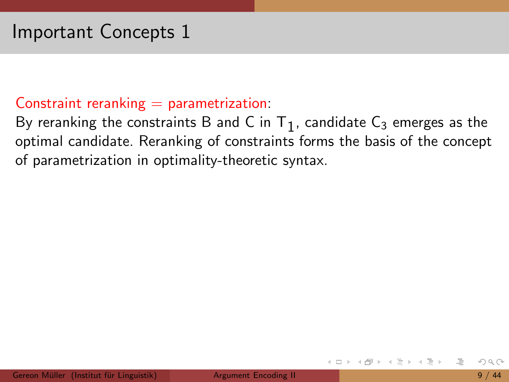#### Important Concepts 1

#### Constraint reranking  $=$  parametrization:

By reranking the constraints B and C in  $T_1$ , candidate  $C_3$  emerges as the optimal candidate. Reranking of constraints forms the basis of the concept of parametrization in optimality-theoretic syntax.

- 4 母 ト 4 ヨ ト 4 ヨ ト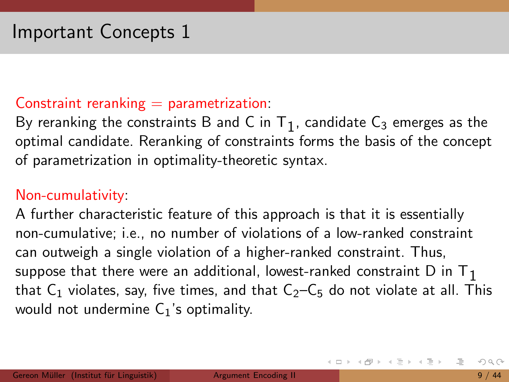#### Constraint reranking  $=$  parametrization:

By reranking the constraints B and C in  $T_1$ , candidate  $C_3$  emerges as the optimal candidate. Reranking of constraints forms the basis of the concept of parametrization in optimality-theoretic syntax.

#### Non-cumulativity:

A further characteristic feature of this approach is that it is essentially non-cumulative; i.e., no number of violations of a low-ranked constraint can outweigh a single violation of a higher-ranked constraint. Thus, suppose that there were an additional, lowest-ranked constraint  $D$  in  $T_1$ that  $C_1$  violates, say, five times, and that  $C_2-C_5$  do not violate at all. This would not undermine  $C_1$ 's optimality.

지금 지수는 지금 지수는 지도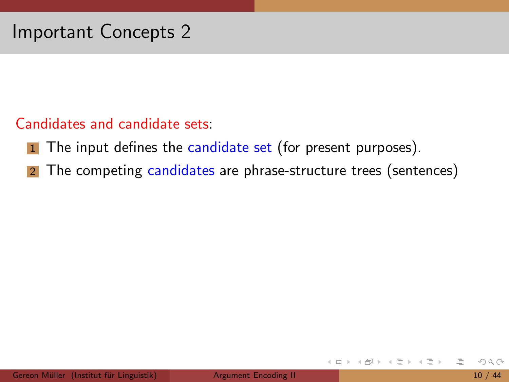#### Candidates and candidate sets:

- 1 The input defines the candidate set (for present purposes).
- 2 The competing candidates are phrase-structure trees (sentences)

 $\leftarrow$   $\Box$   $\rightarrow$ 

 $\rightarrow \equiv$   $\rightarrow$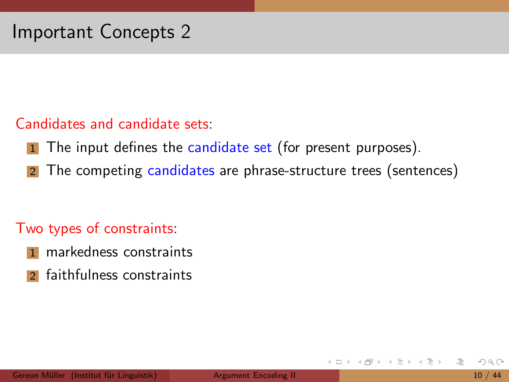#### Candidates and candidate sets:

- **1** The input defines the candidate set (for present purposes).
- 2 The competing candidates are phrase-structure trees (sentences)

#### Two types of constraints:

- markedness constraints
- 2 faithfulness constraints

 $\leftarrow$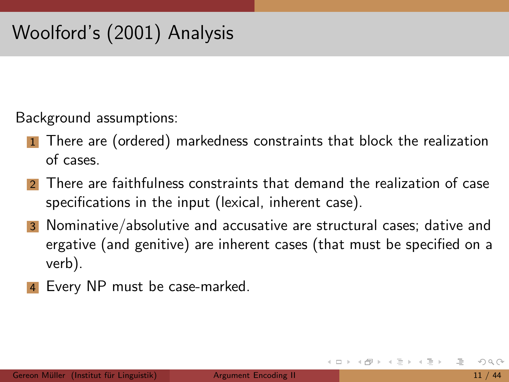Background assumptions:

- 1 There are (ordered) markedness constraints that block the realization of cases.
- 2 There are faithfulness constraints that demand the realization of case specifications in the input (lexical, inherent case).
- 3 Nominative/absolutive and accusative are structural cases; dative and ergative (and genitive) are inherent cases (that must be specified on a verb).
- Every NP must be case-marked.

 $\rightarrow \equiv$   $\rightarrow$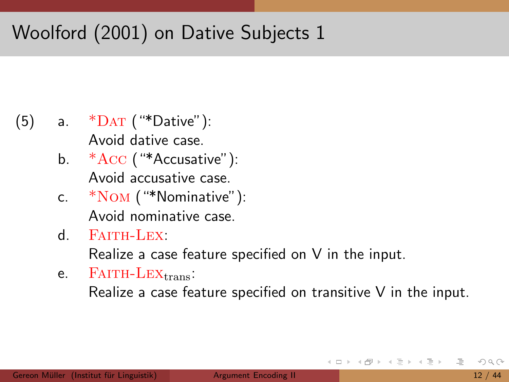- $(5)$  a.  $*$ DAT ("\*Dative"): Avoid dative case.
	- b.  $*Acc$  (" $*Accusative$ "): Avoid accusative case.
	- c. \*Nom ("\*Nominative"): Avoid nominative case.
	- $d.$  Faith-Lex:

Realize a case feature specified on V in the input.

 $e.$  FAITH-LEX $_{\text{trans}}$ : Realize a case feature specified on transitive V in the input.

ミドイラト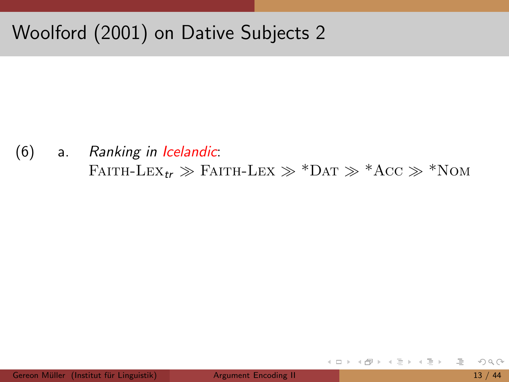$(6)$ Ranking in Icelandic:  $a.$ FAITH-LEX<sub>tr</sub>  $\gg$  FAITH-LEX  $\gg$  \*DAT  $\gg$  \*ACC  $\gg$  \*NOM

≘

ミトマミト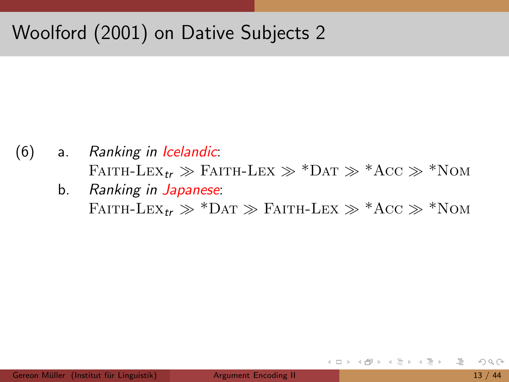- (6) a. Ranking in Icelandic: FAITH-LEX<sub>tr</sub>  $\gg$  FAITH-LEX  $\gg$  \*Dat  $\gg$  \*Acc  $\gg$  \*Nom
	- b. Ranking in Japanese: FAITH-LEX<sub>tr</sub>  $\gg$  \*Dat  $\gg$  Faith-Lex  $\gg$  \*Acc  $\gg$  \*Nom

ミトヨミト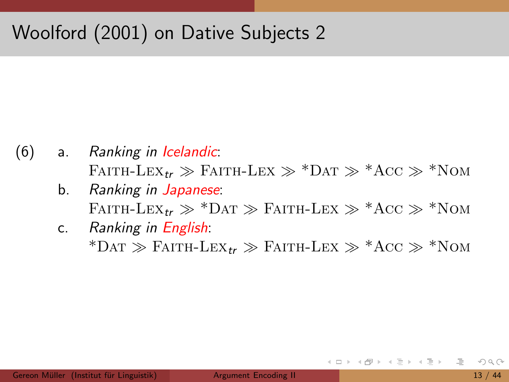- (6) a. Ranking in Icelandic: FAITH-LEX<sub>tr</sub>  $\gg$  FAITH-LEX  $\gg$  \*Dat  $\gg$  \*Acc  $\gg$  \*Nom
	- b. Ranking in Japanese: FAITH-LEX<sub>tr</sub>  $\gg$  \*Dat  $\gg$  Faith-Lex  $\gg$  \*Acc  $\gg$  \*Nom
	- c. Ranking in English: \*Dat  $\gg$  Faith-Lex<sub>tr</sub>  $\gg$  Faith-Lex  $\gg$  \*Acc  $\gg$  \*Nom

ミトィミトー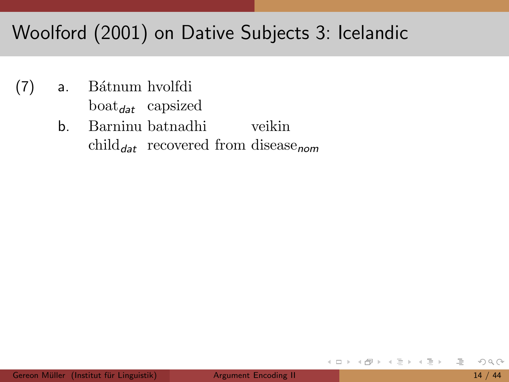### Woolford (2001) on Dative Subjects 3: Icelandic

- $(7)$ Bátnum hvolfdi  $a<sub>r</sub>$  $boat_{\text{dat}}$  capsized
	- Barninu batnadhi veikin b. child<sub>dat</sub> recovered from disease<sub>nom</sub>

ミトマミト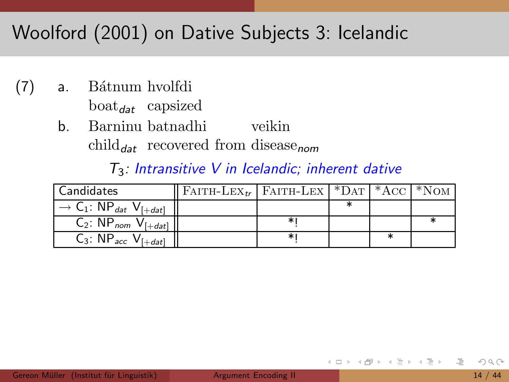### Woolford (2001) on Dative Subjects 3: Icelandic

- $(7)$ Bátnum hvolfdi  $a<sub>r</sub>$  $boat_{dat}$  capsized
	- Barninu batnadhi veikin b. child<sub>dat</sub> recovered from disease<sub>nom</sub>

#### $T_3$ : Intransitive V in Icelandic; inherent dative

| <b>Candidates</b>                                                                             | FAITH-LEX <sub>tr</sub>   FAITH-LEX   *DAT   *ACC   *NOM |   |  |  |
|-----------------------------------------------------------------------------------------------|----------------------------------------------------------|---|--|--|
| $\overline{\phantom{a}}$ $\rightarrow$ C <sub>1</sub> : NP <sub>dat</sub> V <sub>[+dat]</sub> |                                                          |   |  |  |
| $C_2$ : NP <sub>nom</sub> $V_{\lceil + dat \rceil}$                                           |                                                          | * |  |  |
| $C_3$ : NP <sub>acc</sub> V <sub>[+dat]</sub>                                                 |                                                          | ∗ |  |  |

ミドイラト

 $\leftarrow$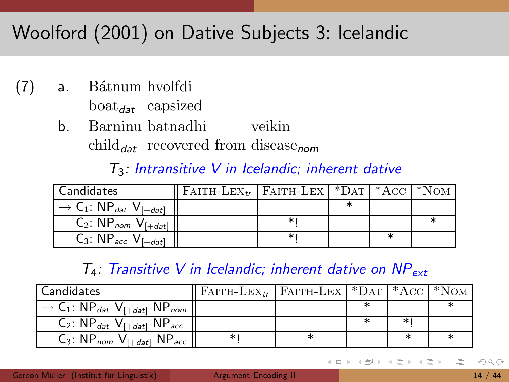# Woolford (2001) on Dative Subjects 3: Icelandic

- $(7)$ Bátnum hvolfdi  $a<sub>r</sub>$  $boat_{\text{dat}}$  capsized
	- b. Barninu batnadhi veikin child<sub>dat</sub> recovered from disease<sub>nom</sub>

#### $T_3$ : Intransitive V in Icelandic; inherent dative

| <b>Candidates</b>                                                                             | FAITH-LEX <sub>tr</sub>   FAITH-LEX   *DAT   *ACC |   |  |  |
|-----------------------------------------------------------------------------------------------|---------------------------------------------------|---|--|--|
| $\overline{\phantom{A}}$ $\rightarrow$ C <sub>1</sub> : NP <sub>dat</sub> V <sub>[+dat]</sub> |                                                   |   |  |  |
| $C_2$ : NP <sub>nom</sub> $V_{[+dat]}$                                                        |                                                   | ∗ |  |  |
| $C_3$ : NP <sub>acc</sub> V <sub>[+dat]</sub>                                                 |                                                   | ∗ |  |  |

#### $T_4$ : Transitive V in Icelandic; inherent dative on NP<sub>ext</sub>

| Candidates                                                                             | FAITH-LEX <sub>tr</sub>   FAITH-LEX   *DAT   *ACC   *NOM |  |   |  |
|----------------------------------------------------------------------------------------|----------------------------------------------------------|--|---|--|
| $\rightarrow$ C <sub>1</sub> : NP <sub>dat</sub> V <sub>[+dat]</sub> NP <sub>nom</sub> |                                                          |  |   |  |
| $C_2$ : $NP_{dat}$ $V_{[+dat]}$ $NP_{acc}$                                             |                                                          |  |   |  |
| $C_3$ : NP <sub>nom</sub> $V_{[+dat]}$ NP <sub>acc</sub>                               | ∗∣                                                       |  | ж |  |

ミドイラト  $OQ$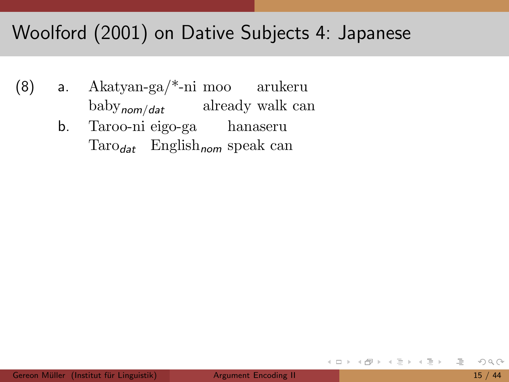### Woolford (2001) on Dative Subjects 4: Japanese

- (8) a. Akatyan-ga/\*-ni moo arukeru baby<sub>nom/dat</sub> already walk can
	- b. Taroo-ni eigo-ga hanaseru Taro<sub>dat</sub> English<sub>nom</sub> speak can

イ母 トラ ミドラ ミラー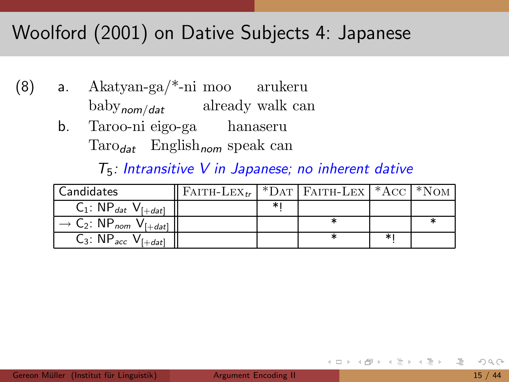### Woolford (2001) on Dative Subjects 4: Japanese

- $(8)$  $Akatyan-ga/*-ni$  moo arukeru  $a_{1}$  $\text{baby}_{\text{nom}/\text{dat}}$  already walk can
	- b. Taroo-ni eigo-ga hanaseru  $\text{Taro}_{\text{dat}}$  English<sub>nom</sub> speak can

#### $T_5$ : Intransitive V in Japanese; no inherent dative

| Candidates                                                           | FAITH-LEX <sub>tr</sub>   *DAT   FAITH-LEX   *ACC   *NOM |  |        |  |
|----------------------------------------------------------------------|----------------------------------------------------------|--|--------|--|
| $C_1$ : NP <sub>dat</sub> V <sub>[+dat]</sub>                        |                                                          |  |        |  |
| $\rightarrow$ C <sub>2</sub> : NP <sub>nom</sub> V <sub>[+dat]</sub> |                                                          |  |        |  |
| $C_3$ : NP <sub>acc</sub> V <sub>[+dat]</sub>                        |                                                          |  | $\ast$ |  |

 $\overline{\mathcal{P}}\rightarrow\mathcal{A}\cdot\overline{\mathcal{P}}\rightarrow\mathcal{P}$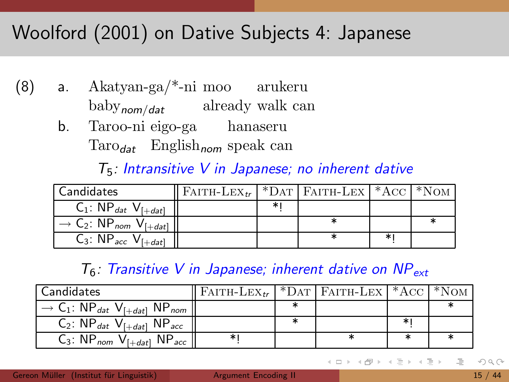### Woolford (2001) on Dative Subjects 4: Japanese

- $Akatyan-ga/*-ni$  moo arukeru  $(8)$  $a_{1}$  $\text{baby}_{\text{nom}/\text{dat}}$  already walk can
	- b. Taroo-ni eigo-ga hanaseru  $\text{Taro}_{\text{dat}}$  English<sub>nom</sub> speak can

#### $T_5$ : Intransitive V in Japanese; no inherent dative

| <b>Candidates</b>                                                    | FAITH-LEX <sub>tr</sub>   *DAT   FAITH-LEX   *ACC |  |   |  |
|----------------------------------------------------------------------|---------------------------------------------------|--|---|--|
| $C_1$ : NP <sub>dat</sub> V <sub>[+dat]</sub>                        |                                                   |  |   |  |
| $\rightarrow$ C <sub>2</sub> : NP <sub>nom</sub> V <sub>[+dat]</sub> |                                                   |  |   |  |
| $C_3$ : NP <sub>acc</sub> V <sub>I</sub>                             |                                                   |  | ∗ |  |

#### $T_6$ : Transitive V in Japanese; inherent dative on NP<sub>ext</sub>

| LCandidates                                                                            | $\parallel$ Faith-Lex <sub>te</sub> $\parallel$ *Dat   Faith-Lex $\parallel$ *Acc $\parallel$ *Nom |  |  |
|----------------------------------------------------------------------------------------|----------------------------------------------------------------------------------------------------|--|--|
| $\rightarrow$ C <sub>1</sub> : NP <sub>dat</sub> V <sub>[+dat]</sub> NP <sub>nom</sub> |                                                                                                    |  |  |
| $C_2$ : $NP_{dat}$ $V_{[+dat]}$ $NP_{acc}$                                             |                                                                                                    |  |  |
| $C_3$ : NP <sub>nom</sub> $V_{[+dat]}$ NP <sub>acc</sub>                               |                                                                                                    |  |  |

 $\mathcal{A} \oplus \mathcal{B}$  ,  $\mathcal{A} \oplus \mathcal{B}$  ,  $\mathcal{A} \oplus \mathcal{B}$  $OQ$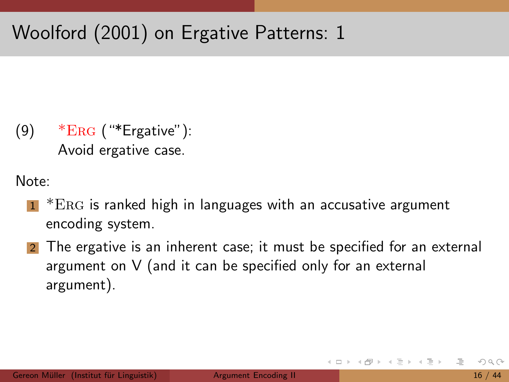$(9)$  \* $ERG$  ("\*Ergative"): Avoid ergative case.

Note:

- $*ERG$  is ranked high in languages with an accusative argument encoding system.
- 2 The ergative is an inherent case; it must be specified for an external argument on V (and it can be specified only for an external argument).

<span id="page-28-0"></span>イ何 ト イヨ ト イヨ ト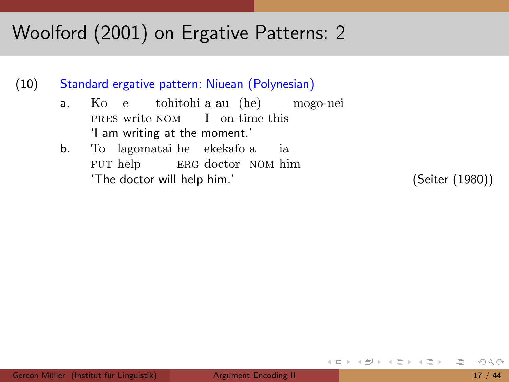(10) Standard ergative pattern: Niuean (Polynesian)

- a. Ko e tohitohi a au (he) mogo-nei PRES write NOM I on time this 'I am writing at the moment.'
- b. To lagomatai he ekekafo a FUT help ERG doctor NOM him ia 'The doctor will help him.' (Seiter (1980))

<span id="page-29-0"></span>イ何 ト イヨ ト イヨ ト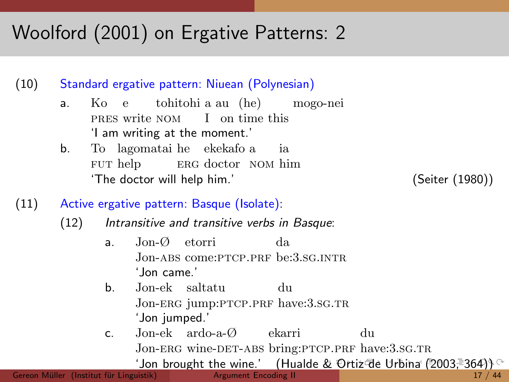(10) Standard ergative pattern: Niuean (Polynesian)

- a. Ko e PRES write NOM I on time this tohitohi a au (he) mogo-nei 'I am writing at the moment.'
- b. To lagomatai he ekekafo a FUT help ERG doctor NOM him ia 'The doctor will help him.' (Seiter (1980))

<span id="page-30-0"></span>

- (11) Active ergative pattern: Basque (Isolate):
	- (12) Intransitive and transitive verbs in Basque:
		- a. Jon-Ø etorri Jon-abs come:ptcp.prf be:3.sg.intr da 'Jon came.'
		- b. Jon-ek saltatu du Jon-erg jump:ptcp.prf have:3.sg.tr 'Jon jumped.'
		- c. Jon-ek ardo-a-Ø ekarri Jon-ERG wine-DET-ABS bring:PTCP.PRF have:3.sG.TR du

'Jon brought the wine.' (Hualde [&](#page-29-0) [Ort](#page-31-0)[iz](#page-28-0) [d](#page-30-0)[e](#page-31-0) [Ur](#page-0-0)[bin](#page-71-0)[a](#page-0-0) [\(](#page-0-0)[20](#page-71-0)[03,](#page-0-0) [36](#page-71-0)4)) ^<br>uistik) argument Encoding II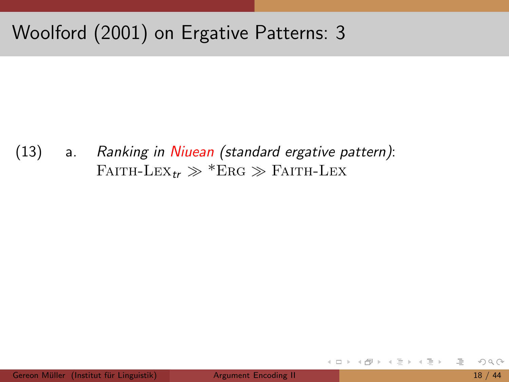$(13)$ Ranking in Niuean (standard ergative pattern):  $a.$ FAITH-LEX<sub>tr</sub>  $\gg$  \*ERG  $\gg$  FAITH-LEX

 $\left\{ \begin{array}{c} \square \end{array} \right\}$ 

<span id="page-31-0"></span>- イラト イラト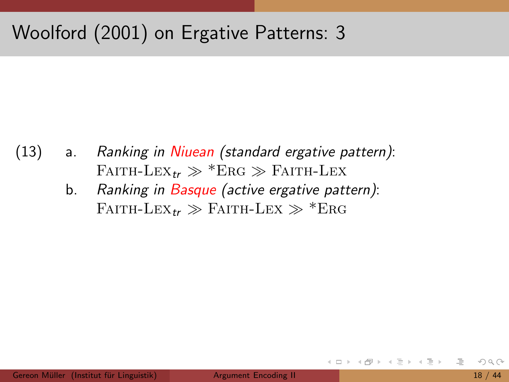- (13) a. Ranking in Niuean (standard ergative pattern): FAITH-LEX<sub>tr</sub>  $\gg$  \*Erg  $\gg$  Faith-Lex
	- b. Ranking in Basque (active ergative pattern): FAITH-LEX<sub>tr</sub>  $\gg$  Faith-Lex  $\gg$  \*Erg

ミドイラト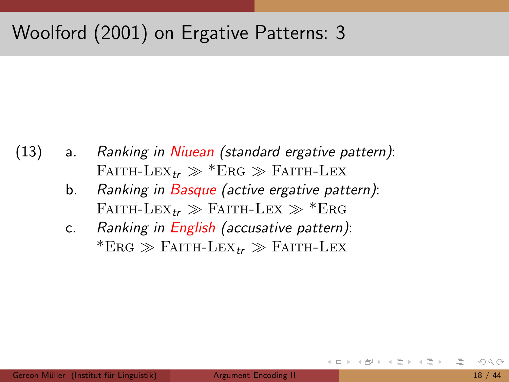- (13) a. Ranking in Niuean (standard ergative pattern): FAITH-LEX<sub>tr</sub>  $\gg$  \*Erg  $\gg$  Faith-Lex
	- b. Ranking in Basque (active ergative pattern): FAITH-LEX<sub>tr</sub>  $\gg$  Faith-Lex  $\gg$  \*Erg
	- c. Ranking in English (accusative pattern):  $*ERG \gg FAITH-LEX_{tr} \gg FAITH-LEX$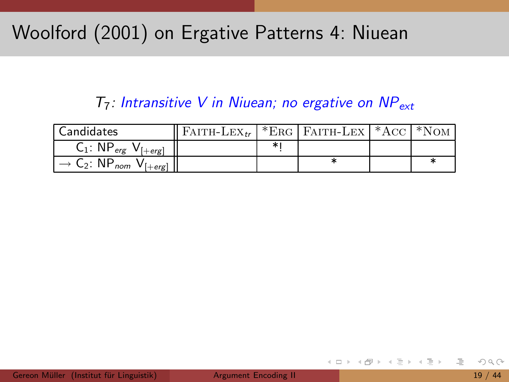### Woolford (2001) on Ergative Patterns 4: Niuean

#### $T_7$ : Intransitive V in Niuean; no ergative on NP<sub>ext</sub>

| Candidates                                                                                       | FAITH-LEX <sub>tr</sub>   *ERG   FAITH-LEX   *ACC   *NOM |  |  |
|--------------------------------------------------------------------------------------------------|----------------------------------------------------------|--|--|
| $C_1$ : NP <sub>erg</sub> V <sub>[+erg]</sub>                                                    |                                                          |  |  |
| $\overline{\phantom{B}}$ $\rightarrow$ C <sub>2</sub> : NP <sub>nom</sub> V <sub>[+erg]</sub> II |                                                          |  |  |

 $\leftarrow$   $\Box$   $\rightarrow$ 

ミドイラト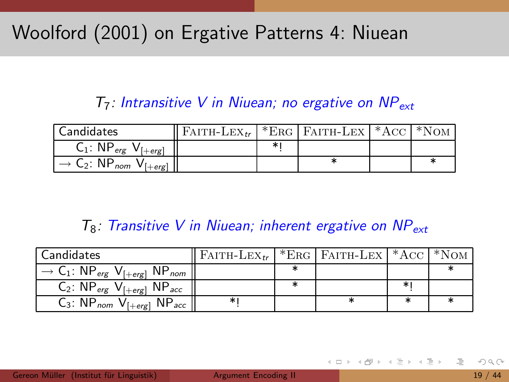### Woolford (2001) on Ergative Patterns 4: Niuean

#### $T_7$ : Intransitive V in Niuean; no ergative on NP<sub>ext</sub>

| <b>Candidates</b>                                                | FAITH-LEX <sub>te</sub>   *ERG   FAITH-LEX   *ACC   *NOM |  |  |
|------------------------------------------------------------------|----------------------------------------------------------|--|--|
| $C_1$ : NP <sub>erg</sub><br>$V$ $[+erg]$                        |                                                          |  |  |
| $\rightarrow$ C <sub>2</sub> : NP <sub>nom</sub><br>$V_{[+erg]}$ |                                                          |  |  |

#### $T_8$ : Transitive V in Niuean; inherent ergative on NP<sub>ext</sub>

| <b>Candidates</b>                                                                       | $ $ Faith-Lex <sub>te</sub> $ $ *Erg $ $ Faith-Lex $ $ *Acc $ $ *Nom |  |  |
|-----------------------------------------------------------------------------------------|----------------------------------------------------------------------|--|--|
| $\rightarrow$ C <sub>1</sub> : NP <sub>erg</sub> V <sub>[+erg</sub> ] NP <sub>nom</sub> |                                                                      |  |  |
| $C_2$ : $NP_{erg}$ $V_{[+erg]}$ $NP_{acc}$                                              |                                                                      |  |  |
| $C_3$ : NP <sub>nom</sub> V <sub>[+erg]</sub> NP <sub>acc</sub> ]                       |                                                                      |  |  |

ミドイラト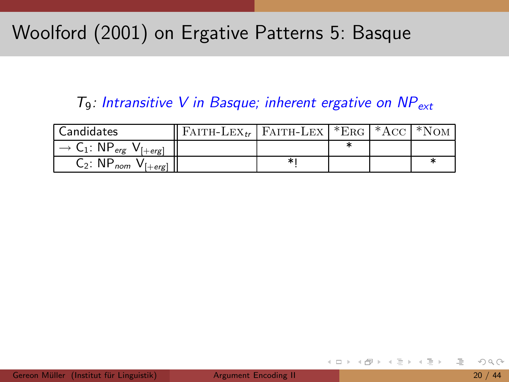### Woolford (2001) on Ergative Patterns 5: Basque

#### $T_9$ : Intransitive V in Basque; inherent ergative on  $NP_{ext}$

| Candidates                                                                                                        | $\parallel$ Faith-Lex <sub>te</sub>   Faith-Lex   *Erg   *Acc   *Nom |   |  |  |
|-------------------------------------------------------------------------------------------------------------------|----------------------------------------------------------------------|---|--|--|
| $\overline{\phantom{a}}$ $\overline{\phantom{a}}$ $\overline{\phantom{a}}$ $C_1$ : NP <sub>erg</sub> $V_{[+erg]}$ |                                                                      |   |  |  |
| $C_2$ : NP <sub>nom</sub> $V_{[+erg]}$ <sup>"</sup>                                                               |                                                                      | * |  |  |

 $\leftarrow$   $\Box$   $\rightarrow$ 

ミドイラト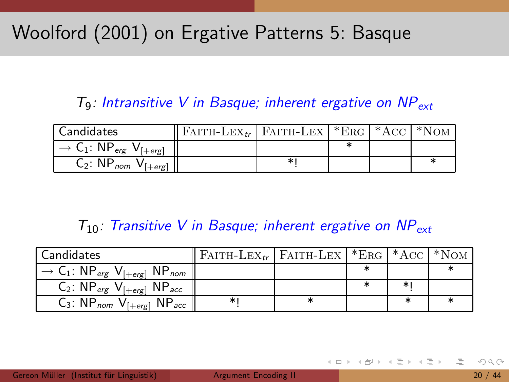### Woolford (2001) on Ergative Patterns 5: Basque

#### $T_9$ : Intransitive V in Basque; inherent ergative on NP<sub>ext</sub>

| <b>Candidates</b>                                                                             | $\parallel$ Faith-Lex <sub>te</sub>   Faith-Lex   *Erg   *Acc   *Nom |   |  |  |
|-----------------------------------------------------------------------------------------------|----------------------------------------------------------------------|---|--|--|
| $\overline{\phantom{a}}$ $\rightarrow$ C <sub>1</sub> : NP <sub>erg</sub> V <sub>[+erg]</sub> |                                                                      |   |  |  |
| $\overline{C}_2$ : NP <sub>nom</sub> V <sub>[+erg]</sub>                                      |                                                                      | ∗ |  |  |

#### $T_{10}$ : Transitive V in Basque; inherent ergative on NP<sub>ext</sub>

| <b>Candidates</b>                                                                       | FAITH-LEX <sub>tt</sub>   FAITH-LEX   *ERG   *ACC   *NOM |  |  |
|-----------------------------------------------------------------------------------------|----------------------------------------------------------|--|--|
| $\rightarrow$ C <sub>1</sub> : NP <sub>erg</sub> V <sub>[+erg</sub> ] NP <sub>nom</sub> |                                                          |  |  |
| $C_2$ : $NP_{erg}$ $V_{[+erg]}$ $NP_{acc}$                                              |                                                          |  |  |
| $C_3$ : NP <sub>nom</sub> V <sub>[+erg]</sub> NP <sub>acc</sub>                         |                                                          |  |  |

ミトマミト

 $\leftarrow$   $\Box$   $\rightarrow$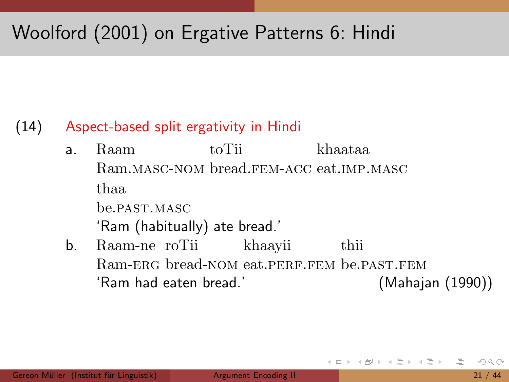## Woolford (2001) on Ergative Patterns 6: Hindi

#### (14) Aspect-based split ergativity in Hindi

- a. Raam Ram.masc-nom bread.fem-acc eat.imp.masc toTii khaataa thaa be.past.masc 'Ram (habitually) ate bread.'
- b. Raam-ne roTii Ram-ERG bread-NOM eat.PERF.FEM be.PAST.FEM khaayii thii 'Ram had eaten bread.' (Mahajan (1990))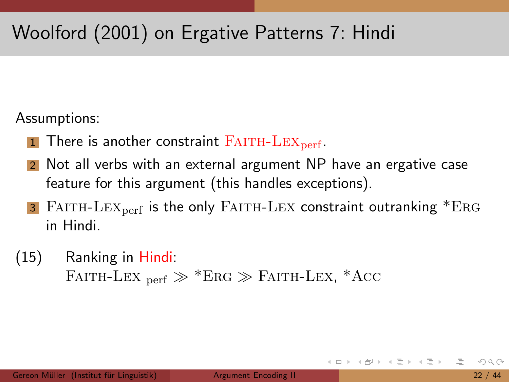## Woolford (2001) on Ergative Patterns 7: Hindi

Assumptions:

- $1$  There is another constraint FAITH-LEX<sub>perf</sub>.
- Not all verbs with an external argument NP have an ergative case feature for this argument (this handles exceptions).
- 3 FAITH-LEX<sub>perf</sub> is the only FAITH-LEX constraint outranking  $*ERG$ in Hindi.
- (15) Ranking in Hindi: FAITH-LEX  $_{\text{perf}} \gg$  \*ERG  $\gg$  FAITH-LEX, \*ACC

ミトマミト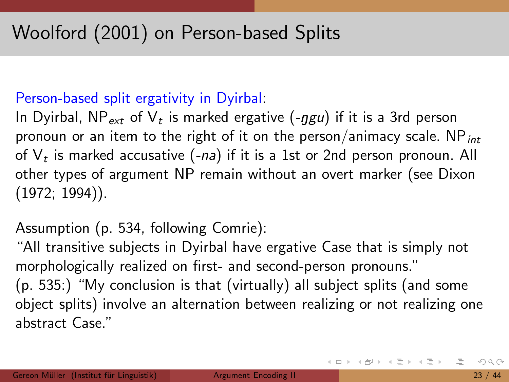#### Person-based split ergativity in Dyirbal:

In Dyirbal, NP $_{\rm ext}$  of  $\mathsf{V}_t$  is marked ergative (- $ggu)$  if it is a 3rd person pronoun or an item to the right of it on the person/animacy scale. NP $_{int}$ of  $\mathsf{V}_t$  is marked accusative (-*na*) if it is a 1st or 2nd person pronoun. All other types of argument NP remain without an overt marker (see Dixon (1972; 1994)).

### Assumption (p. 534, following Comrie):

"All transitive subjects in Dyirbal have ergative Case that is simply not morphologically realized on first- and second-person pronouns." (p. 535:) "My conclusion is that (virtually) all subject splits (and some object splits) involve an alternation between realizing or not realizing one abstract Case."

イロト イ部 トイミト イミトー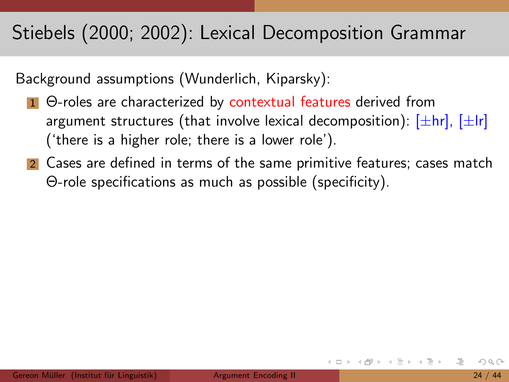### Stiebels (2000; 2002): Lexical Decomposition Grammar

Background assumptions (Wunderlich, Kiparsky):

- 1 Θ-roles are characterized by contextual features derived from argument structures (that involve lexical decomposition):  $[\pm hr]$ ,  $[\pm Ir]$ ('there is a higher role; there is a lower role').
- 2 Cases are defined in terms of the same primitive features; cases match Θ-role specifications as much as possible (specificity).

イロト イ母ト イヨト イヨト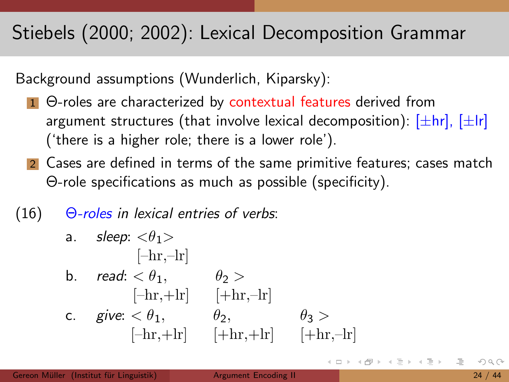## Stiebels (2000; 2002): Lexical Decomposition Grammar

Background assumptions (Wunderlich, Kiparsky):

- 1 Θ-roles are characterized by contextual features derived from argument structures (that involve lexical decomposition):  $[\pm hr]$ ,  $[\pm Ir]$ ('there is a higher role; there is a lower role').
- 2 Cases are defined in terms of the same primitive features; cases match Θ-role specifications as much as possible (specificity).

### $(16)$   $\Theta$ -roles in lexical entries of verbs:

a. *sleep*: 
$$
\langle \theta_1 \rangle
$$
  
\n[-hr, -lr]  
\nb. *read*:  $\langle \theta_1, \theta_2 \rangle$   
\n[-hr, +lr] [-hr, -lr]  
\nc. *give*:  $\langle \theta_1, \theta_2, \theta_3 \rangle$   
\n[-hr, +lr] [-hr, +lr] [+hr, -lr]

医单位 医单位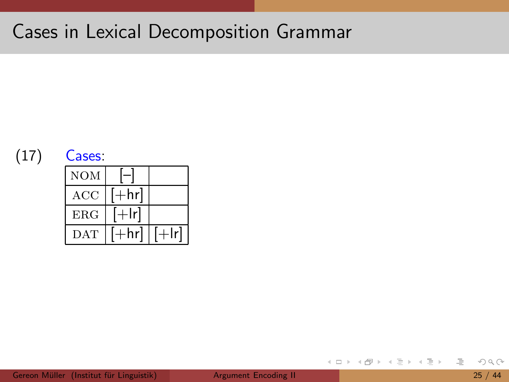### Cases in Lexical Decomposition Grammar



 $\leftarrow$   $\Box$   $\rightarrow$ 

 $\mathcal{A} \oplus \mathcal{B}$ 

 $OQ$ 

目

<span id="page-43-0"></span>ミト イヨト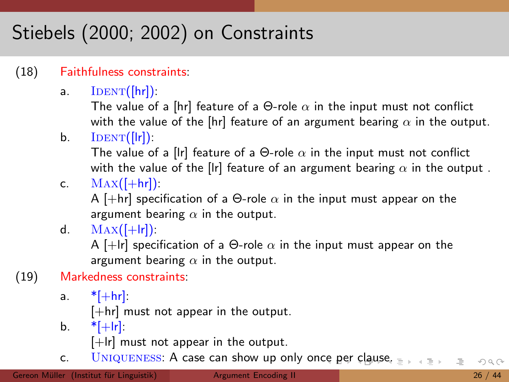# Stiebels (2000; 2002) on Constraints

#### (18) Faithfulness constraints:

a.  $IDENT([hr])$ :

The value of a [hr] feature of a  $\Theta$ -role  $\alpha$  in the input must not conflict with the value of the [hr] feature of an argument bearing  $\alpha$  in the output.

 $b.$  IDENT([|r]):

The value of a [lr] feature of a  $\Theta$ -role  $\alpha$  in the input must not conflict with the value of the [lr] feature of an argument bearing  $\alpha$  in the output.

c.  $\text{MAX}(\left[\text{+hr}\right])$ :

A [+hr] specification of a  $\Theta$ -role  $\alpha$  in the input must appear on the argument bearing  $\alpha$  in the output.

d.  $MAX([-+lr])$ :

A [+lr] specification of a  $\Theta$ -role  $\alpha$  in the input must appear on the argument bearing  $\alpha$  in the output.

- (19) Markedness constraints:
	- a.  $*$ [ $+$ hr]:

 $[+hr]$  must not appear in the output.

b.  $*[+|r]$ :

<span id="page-44-0"></span> $[+|r]$  must not appear in the output.

c. UNIQUENESS: A case can show up only on[ce](#page-43-0) p[er](#page-45-0) [c](#page-43-0)[lau](#page-44-0)[s](#page-45-0)[e.](#page-0-0)  $\rightarrow \equiv +$  $OQ$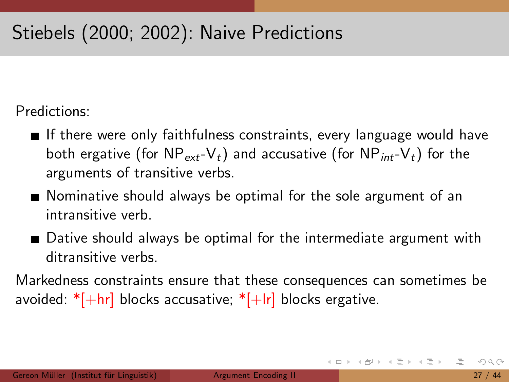## Stiebels (2000; 2002): Naive Predictions

Predictions:

- If there were only faithfulness constraints, every language would have both ergative (for  $NP_{ext}-V_t$ ) and accusative (for  $NP_{int}-V_t$ ) for the arguments of transitive verbs.
- Nominative should always be optimal for the sole argument of an intransitive verb.
- **Dative should always be optimal for the intermediate argument with** ditransitive verbs.

Markedness constraints ensure that these consequences can sometimes be avoided:  $*[+hr]$  blocks accusative;  $*[+lr]$  blocks ergative.

<span id="page-45-0"></span>イロト イ母 トイラト イラトー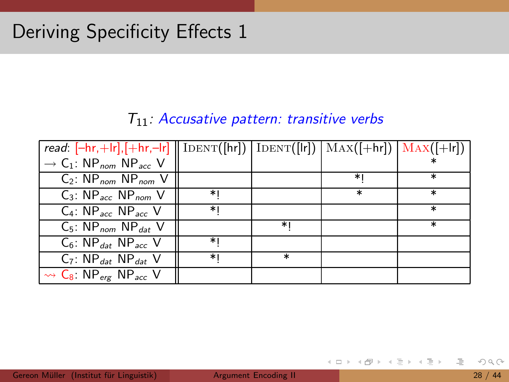#### $T_{11}$ : Accusative pattern: transitive verbs

| read: $[-hr, +lr], [+hr, -lr] \parallel IDENT([hr]) \parallel IDENT([lr]) \parallel MAX([+hr]) \parallel MAX([+lr])$ |    |         |        |        |
|----------------------------------------------------------------------------------------------------------------------|----|---------|--------|--------|
| $\rightarrow$ C <sub>1</sub> : NP <sub>nom</sub> NP <sub>acc</sub> V                                                 |    |         |        |        |
| $C_2$ : NP <sub>nom</sub> NP <sub>nom</sub> V                                                                        |    |         | ∗।     | $\ast$ |
| $C_3$ : NP <sub>acc</sub> NP <sub>nom</sub> V                                                                        | ∗। |         | $\ast$ | $\ast$ |
| $C_4$ : NP <sub>acc</sub> NP <sub>acc</sub> V                                                                        | ∗। |         |        | $\ast$ |
| $C_5$ : NP <sub>nom</sub> NP <sub>dat</sub> V                                                                        |    | ∗।      |        | $\ast$ |
| $C_6$ : NP <sub>dat</sub> NP <sub>acc</sub> V                                                                        | *۱ |         |        |        |
| $C_7$ : NP <sub>dat</sub> NP <sub>dat</sub> V                                                                        | ∗। | $^\ast$ |        |        |
| $\rightsquigarrow$ C <sub>8</sub> : NP <sub>erg</sub> NP <sub>acc</sub> V                                            |    |         |        |        |

 $\equiv$ 

ミトヨミト

- ← ロ ト → 印 ト →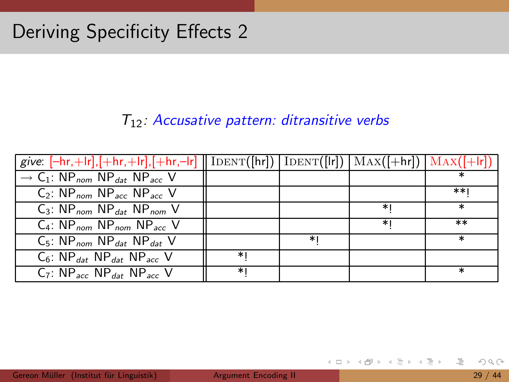#### $T_{12}$ : Accusative pattern: ditransitive verbs

| give: $[-hr, +lr], [+hr, +lr], [+hr, -lr]$    IDENT([hr])   IDENT([lr])   MAX([+hr])   MAX([+lr]) |      |    |      |        |
|---------------------------------------------------------------------------------------------------|------|----|------|--------|
| $\rightarrow$ C <sub>1</sub> : NP <sub>nom</sub> NP <sub>dat</sub> NP <sub>acc</sub> V            |      |    |      |        |
| $C_2$ : NP <sub>nom</sub> NP <sub>acc</sub> NP <sub>acc</sub> V                                   |      |    |      | **۱    |
| $C_3$ : NP <sub>nom</sub> NP <sub>dat</sub> NP <sub>nom</sub> V                                   |      |    | $*1$ | $\ast$ |
| $C_4$ : NP <sub>nom</sub> NP <sub>nom</sub> NP <sub>acc</sub> V                                   |      |    | ∗।   | $***$  |
| $C_5$ : NP <sub>nom</sub> NP <sub>dat</sub> NP <sub>dat</sub> V                                   |      | ∗। |      | $\ast$ |
| $C_6$ : NP <sub>dat</sub> NP <sub>dat</sub> NP <sub>acc</sub> V                                   | $*1$ |    |      |        |
| $C_7$ : NP <sub>acc</sub> NP <sub>dat</sub> NP <sub>acc</sub> V                                   | ∗∣   |    |      |        |

 $\equiv$ 

イロト イ母 トイラト イラト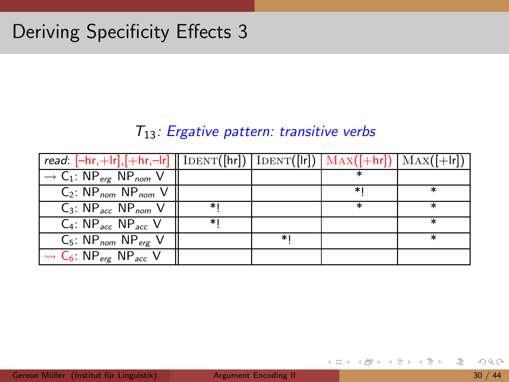#### $T_{13}$ : Ergative pattern: transitive verbs

| read: $[-hr,+lr], [+hr,-lr] \parallel \text{IDENT}([hr]) \parallel \text{IDENT}([lr]) \parallel \text{MAX}([+lr]) \parallel \text{MAX}([+lr])$ |    |      |        |        |
|------------------------------------------------------------------------------------------------------------------------------------------------|----|------|--------|--------|
| $\rightarrow$ C <sub>1</sub> : NP <sub>erg</sub> NP <sub>nom</sub> V                                                                           |    |      |        |        |
| $C_2$ : NP <sub>nom</sub> NP <sub>nom</sub> V                                                                                                  |    |      | ∗⊧     |        |
| $C_3$ : NP <sub>acc</sub> NP <sub>nom</sub> V                                                                                                  | ∗। |      | $\ast$ | $\ast$ |
| $C_4$ : NP <sub>acc</sub> NP <sub>acc</sub> V                                                                                                  | ∗। |      |        | $\ast$ |
| $C_5$ : NP <sub>nom</sub> NP <sub>erg</sub> V                                                                                                  |    | $*1$ |        | $\ast$ |
| $\rightsquigarrow$ C <sub>6</sub> : NP <sub>erg</sub> NP <sub>acc</sub> V                                                                      |    |      |        |        |

<span id="page-48-0"></span> $\equiv$ 

イロト イ母ト イヨト イヨト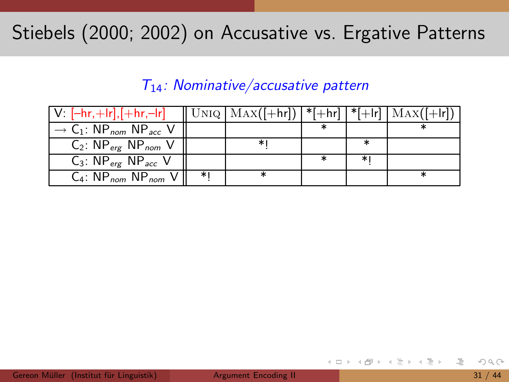### Stiebels (2000; 2002) on Accusative vs. Ergative Patterns

#### $T_{14}$ : Nominative/accusative pattern

| V: $[-hr, +lr], [+hr, -lr]$   UNIQ   MAX( $[+hr]$ )   * $[+hr]$   * $[+lr]$   MAX( $[+lr]$ ) |    |   |        |  |
|----------------------------------------------------------------------------------------------|----|---|--------|--|
| $\rightarrow$ C <sub>1</sub> : NP <sub>nom</sub> NP <sub>acc</sub> V                         |    |   |        |  |
| $C_2$ : $NP_{erg}$ $NP_{nom}$ V                                                              |    | ∗ | $\ast$ |  |
| $C_3$ : NP <sub>erg</sub> NP <sub>acc</sub> V                                                |    |   | ا∗     |  |
| $C_4$ : NP <sub>nom</sub> NP <sub>nom</sub> V                                                | ∗∣ |   |        |  |

<span id="page-49-0"></span> $\triangleright$   $\rightarrow$   $\exists$   $\rightarrow$ 

 $\leftarrow$   $\Box$   $\rightarrow$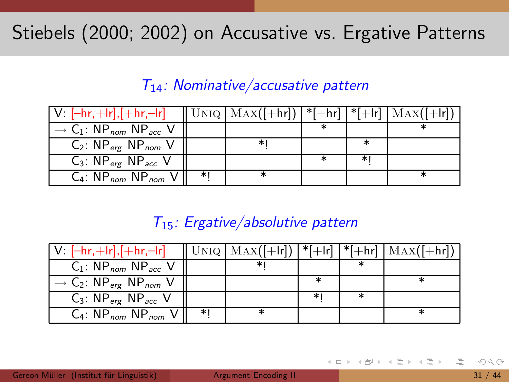### Stiebels (2000; 2002) on Accusative vs. Ergative Patterns

#### $T_{14}$ : Nominative/accusative pattern

| $V: [-hr, +lr], [+hr, -lr]$                                          |    | $  \text{UNIQ}   \text{MAX}([+hr])   *[+hr]   *[+lr]   \text{MAX}([+lr])$ |    |  |
|----------------------------------------------------------------------|----|---------------------------------------------------------------------------|----|--|
| $\rightarrow$ C <sub>1</sub> : NP <sub>nom</sub> NP <sub>acc</sub> V |    |                                                                           |    |  |
| $C_2$ : $NP_{erg}$ $NP_{nom}$ V                                      |    | *                                                                         | ∗  |  |
| $C_3$ : NP <sub>erg</sub> NP <sub>acc</sub> V                        |    |                                                                           | ∗। |  |
| $C_4$ : NP <sub>nom</sub> NP <sub>nom</sub> V                        | ∗। |                                                                           |    |  |

#### $T_{15}$ : Ergative/absolutive pattern

| $V: [-hr,+lr], [+hr,-lr]$                                            |    |   |   | $\ $ UNIQ $ MAX([-lr])  *[+lr]   *[+hr]   Max([+hr])$ |
|----------------------------------------------------------------------|----|---|---|-------------------------------------------------------|
| $C_1$ : NP <sub>nom</sub> NP <sub>acc</sub> V                        |    | ∗ |   |                                                       |
| $\rightarrow$ C <sub>2</sub> : NP <sub>erg</sub> NP <sub>nom</sub> V |    |   |   |                                                       |
| $C_3$ : NP <sub>erg</sub> NP <sub>acc</sub> V                        |    |   | ∗ |                                                       |
| $C_4$ : NP <sub>nom</sub> NP <sub>nom</sub> V                        | ∗। |   |   |                                                       |

<span id="page-50-0"></span>ミトコミト

 $\leftarrow$   $\Box$   $\rightarrow$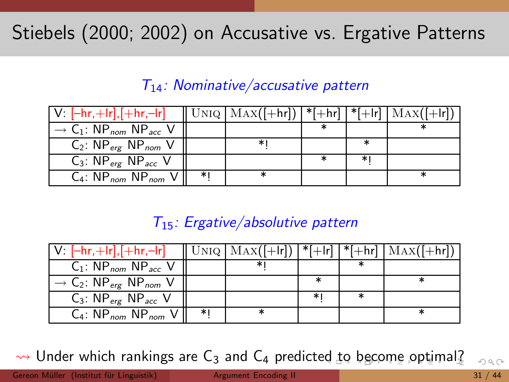## Stiebels (2000; 2002) on Accusative vs. Ergative Patterns

#### $T_{14}$ : Nominative/accusative pattern

| $V: [-hr,+lr], [+hr,-lr]$                                            |    | $\ $ UNIQ $ MAX([-hr]) ^*$ [+hr] $ *$ [+lr] $ MAX([-hr]) $ |    |  |
|----------------------------------------------------------------------|----|------------------------------------------------------------|----|--|
| $\rightarrow$ C <sub>1</sub> : NP <sub>nom</sub> NP <sub>acc</sub> V |    |                                                            |    |  |
| $C_2$ : $NP_{erg}$ $NP_{nom}$ V                                      |    | ∗                                                          |    |  |
| $C_3$ : NP <sub>erg</sub> NP <sub>acc</sub> V                        |    |                                                            | ∗। |  |
| $C_4$ : NP <sub>nom</sub> NP <sub>nom</sub> V                        | ∗। |                                                            |    |  |

#### <span id="page-51-0"></span> $T_{15}$ : Ergative/absolutive pattern

| $V: [-hr,+lr], [+hr,-lr]$                                            |    | $\ $ UNIQ $ MAX([- r]) ^*[+ r ]^*[+ r ]$ $MAX([- r])$ |        |  |
|----------------------------------------------------------------------|----|-------------------------------------------------------|--------|--|
| $C_1$ : NP <sub>nom</sub> NP <sub>acc</sub> V                        |    | ∗⊧                                                    |        |  |
| $\rightarrow$ C <sub>2</sub> : NP <sub>erg</sub> NP <sub>nom</sub> V |    |                                                       | $\ast$ |  |
| $C_3$ : NP <sub>erg</sub> NP <sub>acc</sub> V                        |    |                                                       | ∗⊧     |  |
| $C_4$ : NP <sub>nom</sub> NP <sub>nom</sub> VI                       | ∗। |                                                       |        |  |

 $\rightarrow$  $\rightarrow$  $\rightarrow$  Under which rankings are C<sub>3</sub> and C<sub>4</sub> pr[ed](#page-50-0)icted to [b](#page-48-0)[e](#page-71-0)[c](#page-51-0)o[m](#page-0-0)e o[pt](#page-0-0)[im](#page-71-0)[al](#page-0-0)[?](#page-71-0)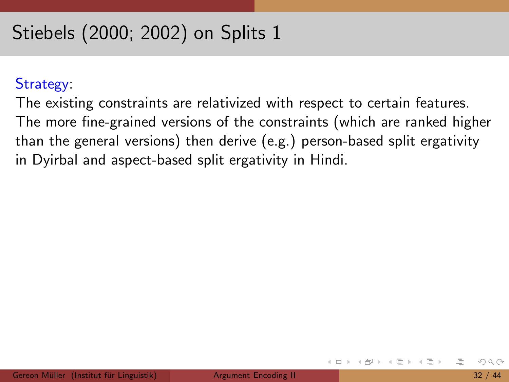#### Strategy:

The existing constraints are relativized with respect to certain features. The more fine-grained versions of the constraints (which are ranked higher than the general versions) then derive (e.g.) person-based split ergativity in Dyirbal and aspect-based split ergativity in Hindi.

<span id="page-52-0"></span> $\leftarrow$   $\Box$   $\rightarrow$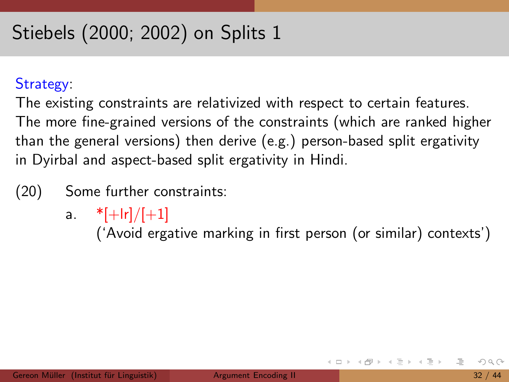#### Strategy:

The existing constraints are relativized with respect to certain features. The more fine-grained versions of the constraints (which are ranked higher than the general versions) then derive (e.g.) person-based split ergativity in Dyirbal and aspect-based split ergativity in Hindi.

- (20) Some further constraints:
	- a.  $*[+|r]/[+1]$

('Avoid ergative marking in first person (or similar) contexts')

イロト イ母 トイラト イラトー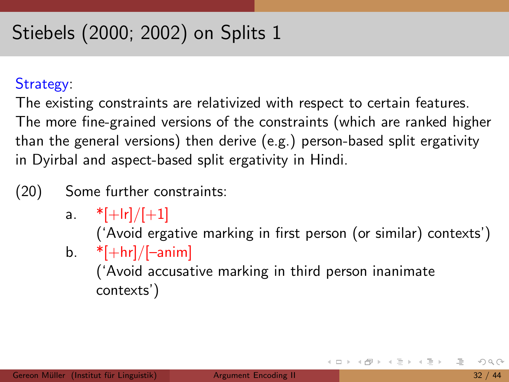#### Strategy:

The existing constraints are relativized with respect to certain features. The more fine-grained versions of the constraints (which are ranked higher than the general versions) then derive (e.g.) person-based split ergativity in Dyirbal and aspect-based split ergativity in Hindi.

### (20) Some further constraints:

a.  $*[+|r]/[+1]$ ('Avoid ergative marking in first person (or similar) contexts') b.  $*[+hr]/[-anim]$ ('Avoid accusative marking in third person inanimate contexts')

지수는 지금에 지수는 지수는 지수는 사람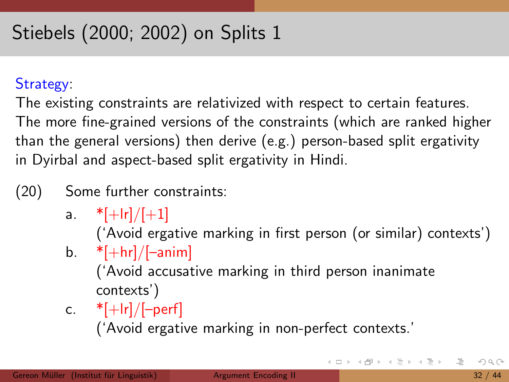#### Strategy:

The existing constraints are relativized with respect to certain features. The more fine-grained versions of the constraints (which are ranked higher than the general versions) then derive (e.g.) person-based split ergativity in Dyirbal and aspect-based split ergativity in Hindi.

- (20) Some further constraints:
	- a.  $*[+|r]/[+1]$

('Avoid ergative marking in first person (or similar) contexts')

b.  $*[+hr]/[-anim]$ 

('Avoid accusative marking in third person inanimate contexts')

c.  $*[+|r]/[-perf]$ 

('Avoid ergative marking in non-perfect contexts.'

K ロ ▶ K 個 ▶ K ミ ▶ K ミ ▶ 「 큰 … 90 Q Q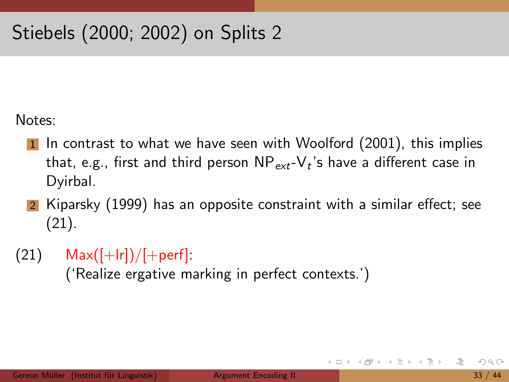Notes:

- In contrast to what we have seen with Woolford (2001), this implies that, e.g., first and third person  $\mathsf{NP}_{\mathsf{ext}}\text{-}\mathsf{V}_t$ 's have a different case in Dyirbal.
- 2 Kiparsky (1999) has an opposite constraint with a similar effect; see (21).
- $(21)$  Max $([+lr])/[+perf]$ :

('Realize ergative marking in perfect contexts.')

イタト イミト イミト

 $\leftarrow$   $\Box$   $\rightarrow$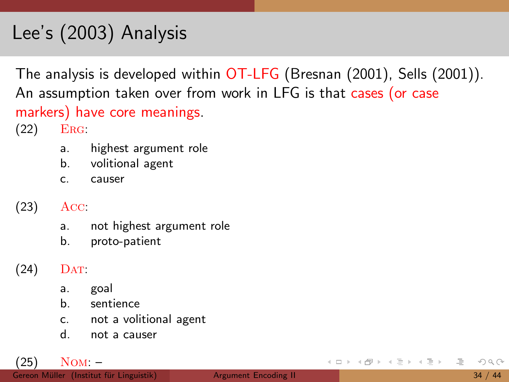## Lee's (2003) Analysis

The analysis is developed within OT-LFG (Bresnan (2001), Sells (2001)). An assumption taken over from work in LFG is that cases (or case markers) have core meanings. (22) Erg:

- a. highest argument role
- b. volitional agent
- c. causer
- (23) Acc:
	- a. not highest argument role
	- b. proto-patient
- $(24)$  DAT:
	- a. goal
	- b. sentience
	- c. not a volitional agent
	- d. not a causer

(25) Nom: –

ミトコミト  $OQ$  $\leftarrow$   $\Box$   $\rightarrow$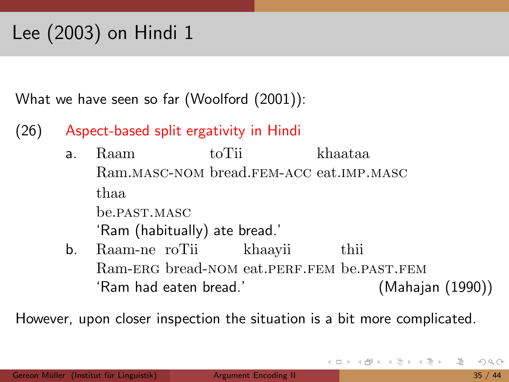What we have seen so far (Woolford (2001)):

- (26) Aspect-based split ergativity in Hindi
	- a. Raam Ram.masc-nom bread.fem-acc eat.imp.masc toTii khaataa thaa be.past.masc 'Ram (habitually) ate bread.'
	- b. Raam-ne roTii Ram-ERG bread-NOM eat.PERF.FEM be.PAST.FEM khaayii thii 'Ram had eaten bread.' (Mahajan (1990))

However, upon closer inspection the situation is a bit more complicated.

<span id="page-58-0"></span>母 ト イヨ ト イヨ ト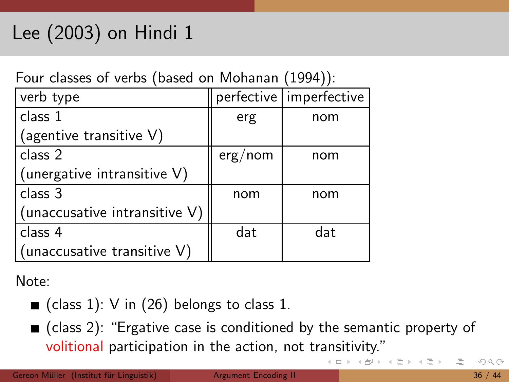Four classes of verbs (based on Mohanan (1994)):

| verb type                     |         | perfective   imperfective |
|-------------------------------|---------|---------------------------|
| class 1                       | erg     | nom                       |
| (agentive transitive V)       |         |                           |
| class 2                       | erg/nom | nom                       |
| (unergative intransitive V)   |         |                           |
| class 3                       | nom     | nom                       |
| (unaccusative intransitive V) |         |                           |
| class 4                       | dat     | dat                       |
| (unaccusative transitive V)   |         |                           |

Note:

- class 1): V in (26) belongs to class 1.
- $\blacksquare$  (class 2): "Ergative case is conditioned by the semantic property of volitional participation in the action, not tr[an](#page-58-0)s[iti](#page-60-0)[v](#page-58-0)[ity](#page-59-0)[."](#page-60-0)

<span id="page-59-0"></span> $\rightarrow$  3  $\rightarrow$  3  $\rightarrow$ 

- + □ ▶ - + r □ ▶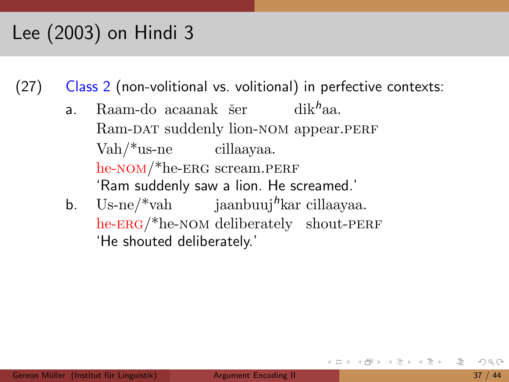(27) Class 2 (non-volitional vs. volitional) in perfective contexts:

- a. Raam-do acaanak šer  $\qquad$  dik<sup>h</sup>aa. Ram-DAT suddenly lion-NOM appear.PERF Vah/\*us-ne cillaayaa. he-NOM/\*he-ERG scream.PERF 'Ram suddenly saw a lion. He screamed.'
- b. Us-ne/\*vah jaanbuuj<sup>h</sup>kar cillaayaa. he-ERG/\*he-NOM deliberately shout-PERF 'He shouted deliberately.'

<span id="page-60-0"></span>化三氯化物医氯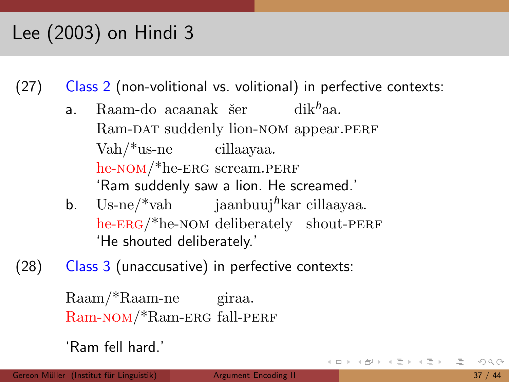(27) Class 2 (non-volitional vs. volitional) in perfective contexts:

- a. Raam-do acaanak šer  $\qquad$  dik<sup>h</sup>aa. Ram-DAT suddenly lion-NOM appear.PERF Vah/\*us-ne cillaayaa. he-NOM/\*he-ERG scream.PERF 'Ram suddenly saw a lion. He screamed.'
- b. Us-ne/\*vah jaanbuuj<sup>h</sup>kar cillaayaa. he-ERG/\*he-NOM deliberately shout-PERF 'He shouted deliberately.'
- (28) Class 3 (unaccusative) in perfective contexts:

```
Raam/*Raam-ne
giraa.
Ram-nom/*Ram-erg
fall-perf
```

```
'Ram fell hard.'
```
 $\mathcal{A} \oplus \mathcal{B} \rightarrow \mathcal{A} \oplus \mathcal{B} \rightarrow \mathcal{A} \oplus \mathcal{B} \rightarrow \mathcal{B}$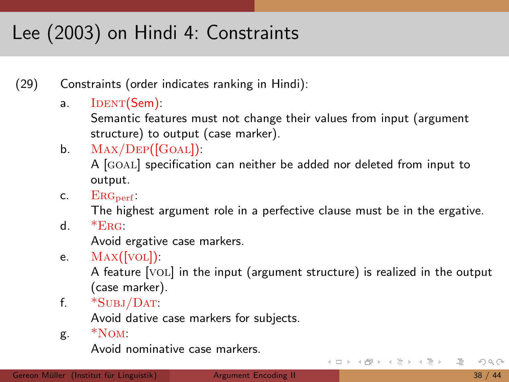# Lee (2003) on Hindi 4: Constraints

(29) Constraints (order indicates ranking in Hindi):

a. IDENT(Sem):

Semantic features must not change their values from input (argument structure) to output (case marker).

- b.  $MAX/DEF([GOAL])$ : A [GOAL] specification can neither be added nor deleted from input to output.
- c.  $ERG_{\text{perf}}$ :

The highest argument role in a perfective clause must be in the ergative.

d.  $*_{ERG}$ :

Avoid ergative case markers.

e. Max([vol]):

A feature [vol] in the input (argument structure) is realized in the output (case marker).

f. \*Subj/Dat:

Avoid dative case markers for subjects.

g. \*Nom:

Avoid nominative case markers.

イロト イ母ト イラト イラト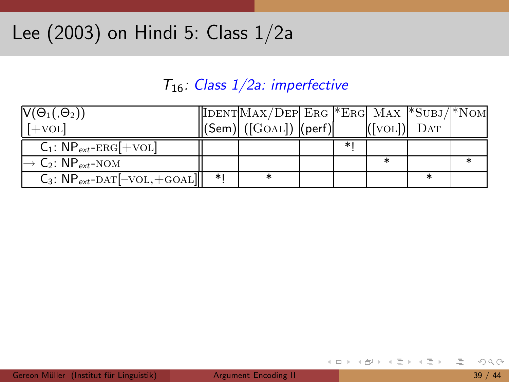### Lee (2003) on Hindi 5: Class 1/2a

#### $T_{16}$ : Class  $1/2a$ : imperfective

| $V(\Theta_1, \Theta_2)$                               |    | $\vert$ IDENT $\vert$ MAX/DEP $\vert$ ERG *ERG MAX *SUBJ/*NOM                                                                            |   |               |  |
|-------------------------------------------------------|----|------------------------------------------------------------------------------------------------------------------------------------------|---|---------------|--|
| $[+VOL]$                                              |    | $\left\  \left( \textsf{Sem} \right) \right\  \left( \left[ \textsf{GoAL} \right] \right) \left\  \left( \textsf{perf} \right) \right\ $ |   | $([VOL])$ DAT |  |
| $C_1$ : $NP_{ext}$ -ERG[+VOL]                         |    |                                                                                                                                          | ∗ |               |  |
| $\rightarrow$ C <sub>2</sub> : NP <sub>ext</sub> -NOM |    |                                                                                                                                          |   |               |  |
| $C_3$ : $NP_{ext}$ -DAT $[–VOL, +GOAL]]$              | ∗∣ |                                                                                                                                          |   |               |  |

目

イロト イ部 トイモト イモト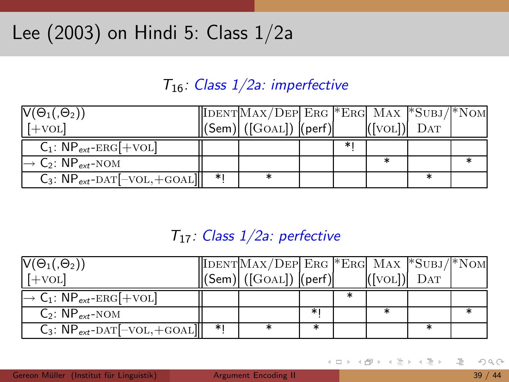## Lee (2003) on Hindi 5: Class 1/2a

### $T_{16}$ : Class  $1/2a$ : imperfective

| $V(\Theta_1, \Theta_2)$                               |    | $\vert$ IDENT $\vert$ MAX/DEP $\vert$ ERG *ERG MAX * $\overline{\text{SUBJ}}$ /*NOM |    |               |  |
|-------------------------------------------------------|----|-------------------------------------------------------------------------------------|----|---------------|--|
| $[+vol]$                                              |    | $\vert$ (Sem) $\vert$ ([GOAL]) (perf)                                               |    | $([VOL])$ DAT |  |
| $C_1$ : NP <sub>ext</sub> -ERG[+VOL]                  |    |                                                                                     | ∗∣ |               |  |
| $\rightarrow$ C <sub>2</sub> : NP <sub>ext</sub> -NOM |    |                                                                                     |    |               |  |
| $C_3$ : $NP_{ext}$ -DAT $[–VOL, +GOAL]]$              | ∗∣ |                                                                                     |    |               |  |

#### $T_{17}$ : Class  $1/2a$ : perfective

| $V(\Theta_1, \Theta_2)$                                     |    | $\vert$ IDENT $\vert$ MAX/DEP $\vert$ ERG *ERG MAX *SUBJ/*NOM |    |               |  |
|-------------------------------------------------------------|----|---------------------------------------------------------------|----|---------------|--|
| $[+vol]$                                                    |    | $\parallel$ (Sem) $\parallel$ ([GOAL]) $\parallel$ (perf)     |    | $([VOL])$ DAT |  |
| $\rightarrow$ C <sub>1</sub> : NP <sub>ext</sub> -ERG[+VOL] |    |                                                               |    |               |  |
| $C_2$ : $NP_{ext-NOM}$                                      |    |                                                               | ∗। |               |  |
| $C_3$ : NP <sub>ext</sub> -DAT[-VOL, +GOAL]]                | *I |                                                               |    |               |  |

 $\leftarrow$   $\Box$   $\rightarrow$ - 4 母 ト 4 ヨ ト 4 ヨ ト ≘  $OQ$ 

Gereon Müller (Institut für Linguistik) [Argument](#page-0-0) Encoding II 39 / 44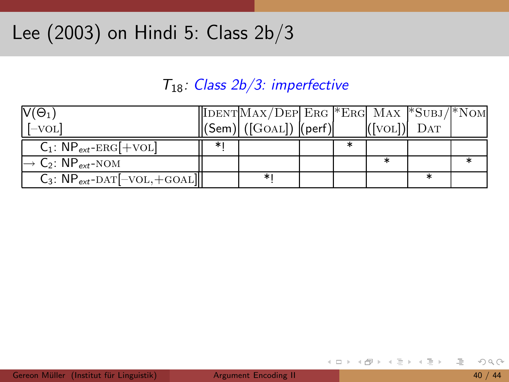### Lee (2003) on Hindi 5: Class 2b/3

#### T18: Class 2b/3: imperfective

| $V(\Theta_1)$                                         |    | $\vert$ IDENT $\vert$ MAX/DEP $\vert$ ERG *ERG MAX *SUBJ/*NOM |  |             |  |
|-------------------------------------------------------|----|---------------------------------------------------------------|--|-------------|--|
| $[-\text{vol}]$                                       |    | $\vert$ (Sem) $\vert$ ([GOAL]) $\vert$ (perf) $\vert$         |  | $(VOL)$ DAT |  |
| $C_1$ : $NP_{ext}$ -ERG[+VOL]                         | ∗∣ |                                                               |  |             |  |
| $\rightarrow$ C <sub>2</sub> : NP <sub>ext</sub> -NOM |    |                                                               |  |             |  |
| $C_3$ : $NP_{ext}$ -DAT $[–VOL, +GOAL]]$              |    |                                                               |  |             |  |

E.

イロト イ部 トイモト イモト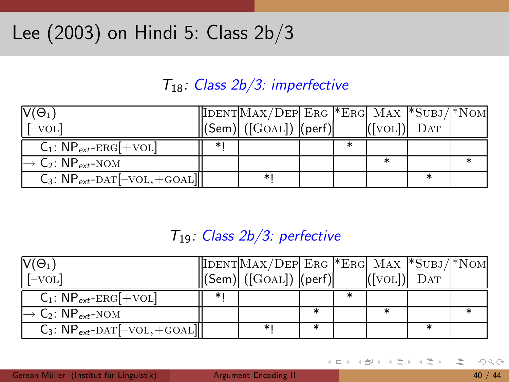#### T18: Class 2b/3: imperfective

| $V(\Theta_1)$                                         |    | $\vert$ IDENT $\vert$ MAX/DEP $\vert$ ERG *ERG MAX *SUBJ/*NOM |  |         |     |  |
|-------------------------------------------------------|----|---------------------------------------------------------------|--|---------|-----|--|
| [–VOL]                                                |    | $\ $ (Sem) $\ $ ([GOAL]) $\ $ (perf)                          |  | ([VOL]) | DAT |  |
| $C_1$ : NP <sub>ext</sub> -ERG[+VOL]                  | *۱ |                                                               |  |         |     |  |
| $\rightarrow$ C <sub>2</sub> : NP <sub>ext</sub> -NOM |    |                                                               |  |         |     |  |
| $C_3$ : $NP_{ext}$ -DAT $[–VOL, +GOAL]]$              |    |                                                               |  |         |     |  |

#### $T_{19}$ : Class  $2b/3$ : perfective

| $V(\Theta_1)$                                         |    | $\vert$ IDENT $\vert$ MAX/DEP $\vert$ ERG *ERG MAX * $\overline{\text{SUBJ}}$ /*NOM |  |               |  |
|-------------------------------------------------------|----|-------------------------------------------------------------------------------------|--|---------------|--|
| $[-\text{vol}]$                                       |    | $\ $ (Sem) $\ $ ([GOAL]) $\ $ (perf)                                                |  | $([VOL])$ DAT |  |
| $C_1$ : $NP_{ext}$ -ERG[+VOL]                         | ∗∣ |                                                                                     |  |               |  |
| $\rightarrow$ C <sub>2</sub> : NP <sub>ext</sub> -NOM |    |                                                                                     |  |               |  |
| $C_3$ : $NP_{ext}$ -DAT $[–VOL, +GOAL]]$              |    |                                                                                     |  |               |  |

 $\leftarrow$   $\Box$   $\rightarrow$ - 4 母 ト 4 ヨ ト 4 ヨ ト  $OQ$ 

Gereon Müller (Institut für Linguistik) [Argument](#page-0-0) Encoding II 40 / 44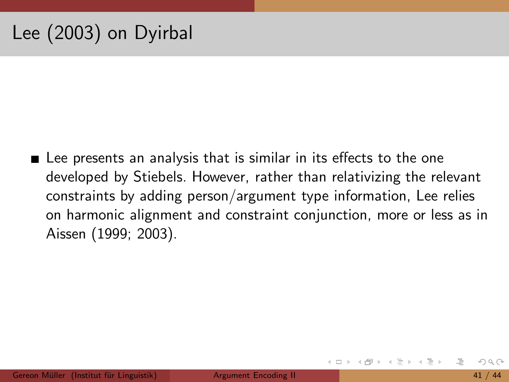## Lee (2003) on Dyirbal

■ Lee presents an analysis that is similar in its effects to the one developed by Stiebels. However, rather than relativizing the relevant constraints by adding person/argument type information, Lee relies on harmonic alignment and constraint conjunction, more or less as in Aissen (1999; 2003).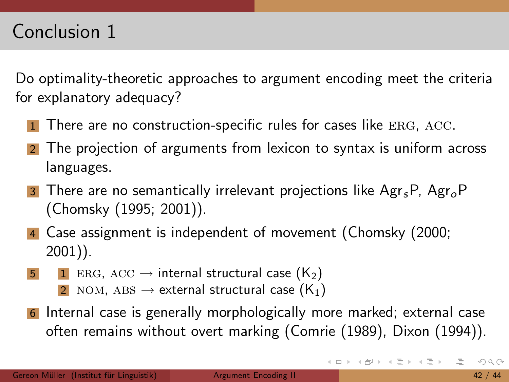Do optimality-theoretic approaches to argument encoding meet the criteria for explanatory adequacy?

- There are no construction-specific rules for cases like ERG, ACC.
- 2 The projection of arguments from lexicon to syntax is uniform across languages.
- **3** There are no semantically irrelevant projections like  $\text{Agr}_{s}P$ ,  $\text{Agr}_{o}P$ (Chomsky (1995; 2001)).
- 4 Case assignment is independent of movement (Chomsky (2000; 2001)).
- 5 1 ERG, ACC  $\rightarrow$  internal structural case (K<sub>2</sub>)
	- 2 NOM, ABS  $\rightarrow$  external structural case (K<sub>1</sub>)
- 6 Internal case is generally morphologically more marked; external case often remains without overt marking (Comrie (1989), Dixon (1994)).

イロト イ部 トイヨト イヨト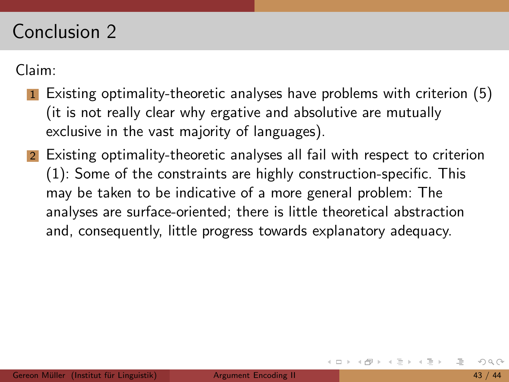### Conclusion 2

Claim:

- Existing optimality-theoretic analyses have problems with criterion (5) (it is not really clear why ergative and absolutive are mutually exclusive in the vast majority of languages).
- 2 Existing optimality-theoretic analyses all fail with respect to criterion (1): Some of the constraints are highly construction-specific. This may be taken to be indicative of a more general problem: The analyses are surface-oriented; there is little theoretical abstraction and, consequently, little progress towards explanatory adequacy.

ミトコミト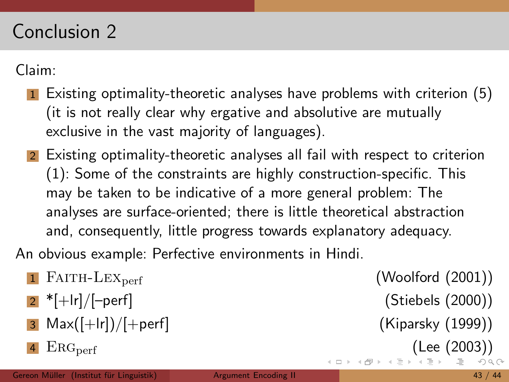### Conclusion 2

Claim:

- Existing optimality-theoretic analyses have problems with criterion (5) (it is not really clear why ergative and absolutive are mutually exclusive in the vast majority of languages).
- 2 Existing optimality-theoretic analyses all fail with respect to criterion (1): Some of the constraints are highly construction-specific. This may be taken to be indicative of a more general problem: The analyses are surface-oriented; there is little theoretical abstraction and, consequently, little progress towards explanatory adequacy.

An obvious example: Perfective environments in Hindi.

- $1$  FAITH-LEX<sub>perf</sub>  $($ Woolford  $(2001)$
- 2 \*[+lr]/[–perf] (Stiebels (2000))
- $3$  Max $(\lceil + \lfloor r \rfloor)/\lceil + \text{perf} \rceil$  (Kiparsky (1999))
- $\text{ERG}_{\text{perf}}$  $\text{ERG}_{\text{perf}}$  $\text{ERG}_{\text{perf}}$  [\(](#page-71-0)[Le](#page-0-0)e [\(2](#page-0-0)[003](#page-71-0)))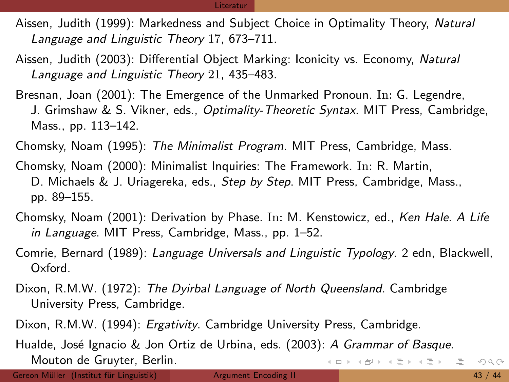- Aissen, Judith (1999): Markedness and Subject Choice in Optimality Theory, Natural Language and Linguistic Theory 17, 673–711.
- Aissen, Judith (2003): Differential Object Marking: Iconicity vs. Economy, Natural Language and Linguistic Theory 21, 435–483.
- Bresnan, Joan (2001): The Emergence of the Unmarked Pronoun. In: G. Legendre, J. Grimshaw & S. Vikner, eds., Optimality-Theoretic Syntax. MIT Press, Cambridge, Mass., pp. 113–142.
- Chomsky, Noam (1995): The Minimalist Program. MIT Press, Cambridge, Mass.
- Chomsky, Noam (2000): Minimalist Inquiries: The Framework. In: R. Martin, D. Michaels & J. Uriagereka, eds., Step by Step. MIT Press, Cambridge, Mass., pp. 89–155.
- Chomsky, Noam (2001): Derivation by Phase. In: M. Kenstowicz, ed., Ken Hale. A Life in Language. MIT Press, Cambridge, Mass., pp. 1-52.
- Comrie, Bernard (1989): Language Universals and Linguistic Typology. 2 edn, Blackwell, Oxford.
- Dixon, R.M.W. (1972): The Dyirbal Language of North Queensland. Cambridge University Press, Cambridge.
- Dixon, R.M.W. (1994): *Ergativity*. Cambridge University Press, Cambridge.
- <span id="page-71-0"></span>Hualde, José Ignacio & Jon Ortiz de Urbina, eds. (2003): A Grammar of Basque. Mouton de Gruyter, Berlin. K ロ > K 레 > K 코 > K 코 > H 코 → K 9 Q O